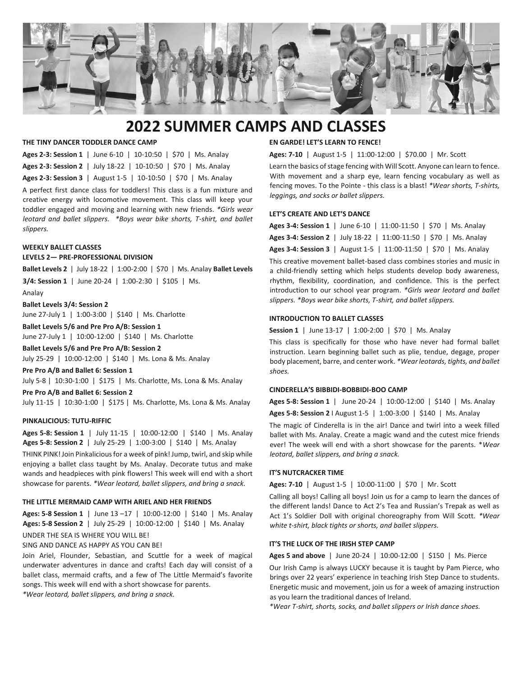

# **2022 SUMMER CAMPS AND CLASSES**

## **THE TINY DANCER TODDLER DANCE CAMP**

**Ages 2-3: Session 1** | June 6-10 | 10-10:50 | \$70 | Ms. Analay **Ages 2-3: Session 2** | July 18-22 | 10-10:50 | \$70 | Ms. Analay

**Ages 2-3: Session 3** | August 1-5 | 10-10:50 | \$70 | Ms. Analay

A perfect first dance class for toddlers! This class is a fun mixture and creative energy with locomotive movement. This class will keep your toddler engaged and moving and learning with new friends. *\*Girls wear leotard and ballet slippers. \*Boys wear bike shorts, T-shirt, and ballet slippers.*

#### **WEEKLY BALLET CLASSES**

## **LEVELS 2— PRE-PROFESSIONAL DIVISION**

**Ballet Levels 2** | July 18-22 | 1:00-2:00 | \$70 | Ms. Analay **Ballet Levels** 

**3/4: Session 1** | June 20-24 | 1:00-2:30 | \$105 | Ms. Analay

## **Ballet Levels 3/4: Session 2**

June 27-July 1 | 1:00-3:00 | \$140 | Ms. Charlotte

**Ballet Levels 5/6 and Pre Pro A/B: Session 1**

June 27-July 1 | 10:00-12:00 | \$140 | Ms. Charlotte

**Ballet Levels 5/6 and Pre Pro A/B: Session 2** July 25-29 | 10:00-12:00 | \$140 | Ms. Lona & Ms. Analay

**Pre Pro A/B and Ballet 6: Session 1**

July 5-8 | 10:30-1:00 | \$175 | Ms. Charlotte, Ms. Lona & Ms. Analay

**Pre Pro A/B and Ballet 6: Session 2** July 11-15 | 10:30-1:00 | \$175 | Ms. Charlotte, Ms. Lona & Ms. Analay

## **PINKALICIOUS: TUTU-RIFFIC**

**Ages 5-8: Session 1** | July 11-15 | 10:00-12:00 | \$140 | Ms. Analay **Ages 5-8: Session 2** | July 25-29 | 1:00-3:00 | \$140 | Ms. Analay

THINK PINK! Join Pinkalicious for a week of pink! Jump, twirl, and skip while enjoying a ballet class taught by Ms. Analay. Decorate tutus and make wands and headpieces with pink flowers! This week will end with a short showcase for parents. *\*Wear leotard, ballet slippers, and bring a snack.*

## **THE LITTLE MERMAID CAMP WITH ARIEL AND HER FRIENDS**

**Ages: 5-8 Session 1** | June 13 –17 | 10:00-12:00 | \$140 | Ms. Analay **Ages: 5-8 Session 2** | July 25-29 | 10:00-12:00 | \$140 | Ms. Analay

## UNDER THE SEA IS WHERE YOU WILL BE!

SING AND DANCE AS HAPPY AS YOU CAN BE!

Join Ariel, Flounder, Sebastian, and Scuttle for a week of magical underwater adventures in dance and crafts! Each day will consist of a ballet class, mermaid crafts, and a few of The Little Mermaid's favorite songs. This week will end with a short showcase for parents.

*\*Wear leotard, ballet slippers, and bring a snack.*

## **EN GARDE! LET'S LEARN TO FENCE!**

**Ages: 7-10** | August 1-5 | 11:00-12:00 | \$70.00 | Mr. Scott

Learn the basics of stage fencing with Will Scott. Anyone can learn to fence. With movement and a sharp eye, learn fencing vocabulary as well as fencing moves. To the Pointe - this class is a blast! *\*Wear shorts, T-shirts, leggings, and socks or ballet slippers.*

## **LET'S CREATE AND LET'S DANCE**

| Ages 3-4: Session 1   June 6-10   11:00-11:50   \$70   Ms. Analay  |  |  |
|--------------------------------------------------------------------|--|--|
| Ages 3-4: Session 2   July 18-22   11:00-11:50   \$70   Ms. Analay |  |  |
| Ages 3-4: Session 3   August 1-5   11:00-11:50   \$70   Ms. Analay |  |  |

This creative movement ballet-based class combines stories and music in a child-friendly setting which helps students develop body awareness, rhythm, flexibility, coordination, and confidence. This is the perfect introduction to our school year program. *\*Girls wear leotard and ballet slippers. \*Boys wear bike shorts, T-shirt, and ballet slippers.*

#### **INTRODUCTION TO BALLET CLASSES**

**Session 1** | June 13-17 | 1:00-2:00 | \$70 | Ms. Analay

This class is specifically for those who have never had formal ballet instruction. Learn beginning ballet such as plie, tendue, degage, proper body placement, barre, and center work. *\*Wear leotards, tights, and ballet shoes.*

#### **CINDERELLA'S BIBBIDI-BOBBIDI-BOO CAMP**

**Ages 5-8: Session 1** | June 20-24 | 10:00-12:00 | \$140 | Ms. Analay **Ages 5-8: Session 2** I August 1-5 | 1:00-3:00 | \$140 | Ms. Analay

The magic of Cinderella is in the air! Dance and twirl into a week filled ballet with Ms. Analay. Create a magic wand and the cutest mice friends ever! The week will end with a short showcase for the parents. \**Wear leotard, ballet slippers, and bring a snack.*

## **IT'S NUTCRACKER TIME**

**Ages: 7-10** | August 1-5 | 10:00-11:00 | \$70 | Mr. Scott

Calling all boys! Calling all boys! Join us for a camp to learn the dances of the different lands! Dance to Act 2's Tea and Russian's Trepak as well as Act 1's Soldier Doll with original choreography from Will Scott. *\*Wear white t-shirt, black tights or shorts, and ballet slippers.*

## **IT'S THE LUCK OF THE IRISH STEP CAMP**

**Ages 5 and above** | June 20-24 | 10:00-12:00 | \$150 | Ms. Pierce

Our Irish Camp is always LUCKY because it is taught by Pam Pierce, who brings over 22 years' experience in teaching Irish Step Dance to students. Energetic music and movement, join us for a week of amazing instruction as you learn the traditional dances of Ireland.

*\*Wear T-shirt, shorts, socks, and ballet slippers or Irish dance shoes.*